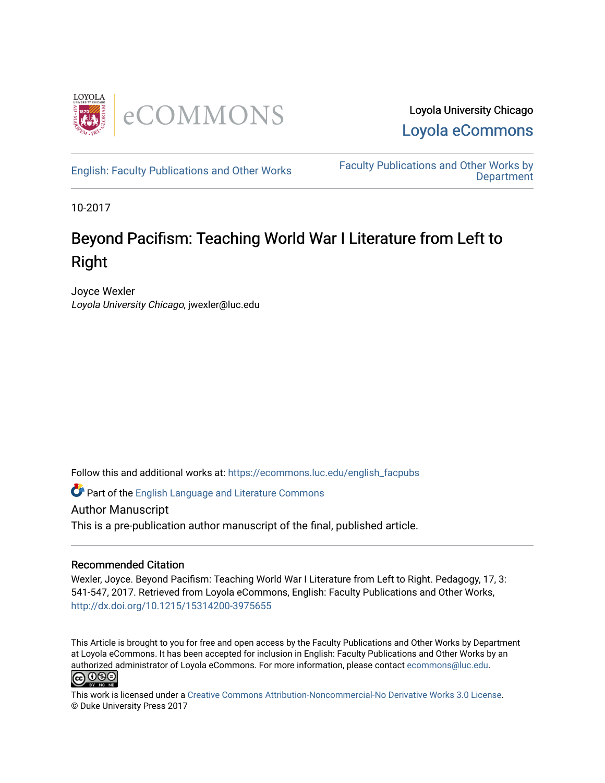

Loyola University Chicago [Loyola eCommons](https://ecommons.luc.edu/) 

[English: Faculty Publications and Other Works](https://ecommons.luc.edu/english_facpubs) Faculty Publications and Other Works by **Department** 

10-2017

## Beyond Pacifism: Teaching World War I Literature from Left to Right

Joyce Wexler Loyola University Chicago, jwexler@luc.edu

Follow this and additional works at: [https://ecommons.luc.edu/english\\_facpubs](https://ecommons.luc.edu/english_facpubs?utm_source=ecommons.luc.edu%2Fenglish_facpubs%2F51&utm_medium=PDF&utm_campaign=PDFCoverPages) 

Part of the [English Language and Literature Commons](http://network.bepress.com/hgg/discipline/455?utm_source=ecommons.luc.edu%2Fenglish_facpubs%2F51&utm_medium=PDF&utm_campaign=PDFCoverPages)

Author Manuscript

This is a pre-publication author manuscript of the final, published article.

## Recommended Citation

Wexler, Joyce. Beyond Pacifism: Teaching World War I Literature from Left to Right. Pedagogy, 17, 3: 541-547, 2017. Retrieved from Loyola eCommons, English: Faculty Publications and Other Works, <http://dx.doi.org/10.1215/15314200-3975655>

This Article is brought to you for free and open access by the Faculty Publications and Other Works by Department at Loyola eCommons. It has been accepted for inclusion in English: Faculty Publications and Other Works by an authorized administrator of Loyola eCommons. For more information, please contact [ecommons@luc.edu](mailto:ecommons@luc.edu).



This work is licensed under a [Creative Commons Attribution-Noncommercial-No Derivative Works 3.0 License.](https://creativecommons.org/licenses/by-nc-nd/3.0/) © Duke University Press 2017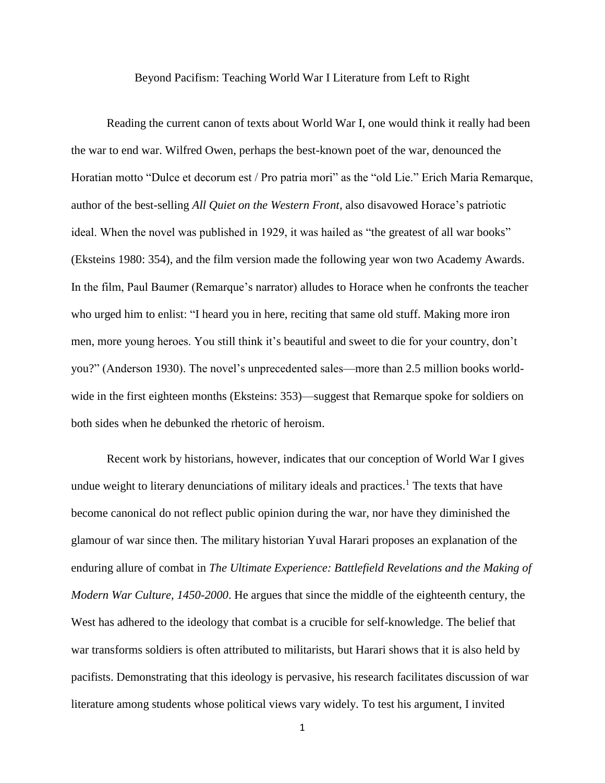Beyond Pacifism: Teaching World War I Literature from Left to Right

Reading the current canon of texts about World War I, one would think it really had been the war to end war. Wilfred Owen, perhaps the best-known poet of the war, denounced the Horatian motto "Dulce et decorum est / Pro patria mori" as the "old Lie." Erich Maria Remarque, author of the best-selling *All Quiet on the Western Front*, also disavowed Horace's patriotic ideal. When the novel was published in 1929, it was hailed as "the greatest of all war books" (Eksteins 1980: 354), and the film version made the following year won two Academy Awards. In the film, Paul Baumer (Remarque's narrator) alludes to Horace when he confronts the teacher who urged him to enlist: "I heard you in here, reciting that same old stuff. Making more iron men, more young heroes. You still think it's beautiful and sweet to die for your country, don't you?" (Anderson 1930). The novel's unprecedented sales—more than 2.5 million books worldwide in the first eighteen months (Eksteins: 353)—suggest that Remarque spoke for soldiers on both sides when he debunked the rhetoric of heroism.

Recent work by historians, however, indicates that our conception of World War I gives undue weight to literary denunciations of military ideals and practices.<sup>1</sup> The texts that have become canonical do not reflect public opinion during the war, nor have they diminished the glamour of war since then. The military historian Yuval Harari proposes an explanation of the enduring allure of combat in *The Ultimate Experience: Battlefield Revelations and the Making of Modern War Culture, 1450-2000*. He argues that since the middle of the eighteenth century, the West has adhered to the ideology that combat is a crucible for self-knowledge. The belief that war transforms soldiers is often attributed to militarists, but Harari shows that it is also held by pacifists. Demonstrating that this ideology is pervasive, his research facilitates discussion of war literature among students whose political views vary widely. To test his argument, I invited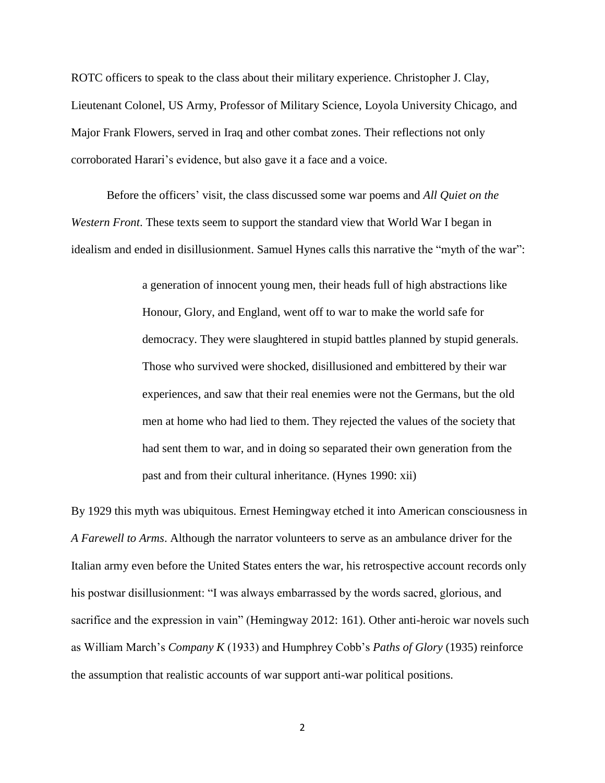ROTC officers to speak to the class about their military experience. Christopher J. Clay, Lieutenant Colonel, US Army, Professor of Military Science, Loyola University Chicago, and Major Frank Flowers, served in Iraq and other combat zones. Their reflections not only corroborated Harari's evidence, but also gave it a face and a voice.

Before the officers' visit, the class discussed some war poems and *All Quiet on the Western Front*. These texts seem to support the standard view that World War I began in idealism and ended in disillusionment. Samuel Hynes calls this narrative the "myth of the war":

> a generation of innocent young men, their heads full of high abstractions like Honour, Glory, and England, went off to war to make the world safe for democracy. They were slaughtered in stupid battles planned by stupid generals. Those who survived were shocked, disillusioned and embittered by their war experiences, and saw that their real enemies were not the Germans, but the old men at home who had lied to them. They rejected the values of the society that had sent them to war, and in doing so separated their own generation from the past and from their cultural inheritance. (Hynes 1990: xii)

By 1929 this myth was ubiquitous. Ernest Hemingway etched it into American consciousness in *A Farewell to Arms*. Although the narrator volunteers to serve as an ambulance driver for the Italian army even before the United States enters the war, his retrospective account records only his postwar disillusionment: "I was always embarrassed by the words sacred, glorious, and sacrifice and the expression in vain" (Hemingway 2012: 161). Other anti-heroic war novels such as William March's *Company K* (1933) and Humphrey Cobb's *Paths of Glory* (1935) reinforce the assumption that realistic accounts of war support anti-war political positions.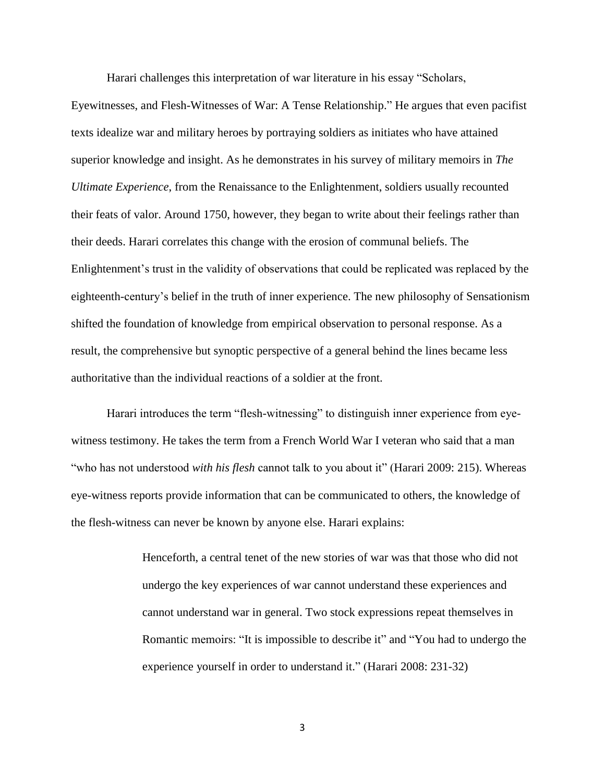Harari challenges this interpretation of war literature in his essay "Scholars,

Eyewitnesses, and Flesh-Witnesses of War: A Tense Relationship." He argues that even pacifist texts idealize war and military heroes by portraying soldiers as initiates who have attained superior knowledge and insight. As he demonstrates in his survey of military memoirs in *The Ultimate Experience*, from the Renaissance to the Enlightenment, soldiers usually recounted their feats of valor. Around 1750, however, they began to write about their feelings rather than their deeds. Harari correlates this change with the erosion of communal beliefs. The Enlightenment's trust in the validity of observations that could be replicated was replaced by the eighteenth-century's belief in the truth of inner experience. The new philosophy of Sensationism shifted the foundation of knowledge from empirical observation to personal response. As a result, the comprehensive but synoptic perspective of a general behind the lines became less authoritative than the individual reactions of a soldier at the front.

Harari introduces the term "flesh-witnessing" to distinguish inner experience from eyewitness testimony. He takes the term from a French World War I veteran who said that a man "who has not understood *with his flesh* cannot talk to you about it" (Harari 2009: 215). Whereas eye-witness reports provide information that can be communicated to others, the knowledge of the flesh-witness can never be known by anyone else. Harari explains:

> Henceforth, a central tenet of the new stories of war was that those who did not undergo the key experiences of war cannot understand these experiences and cannot understand war in general. Two stock expressions repeat themselves in Romantic memoirs: "It is impossible to describe it" and "You had to undergo the experience yourself in order to understand it." (Harari 2008: 231-32)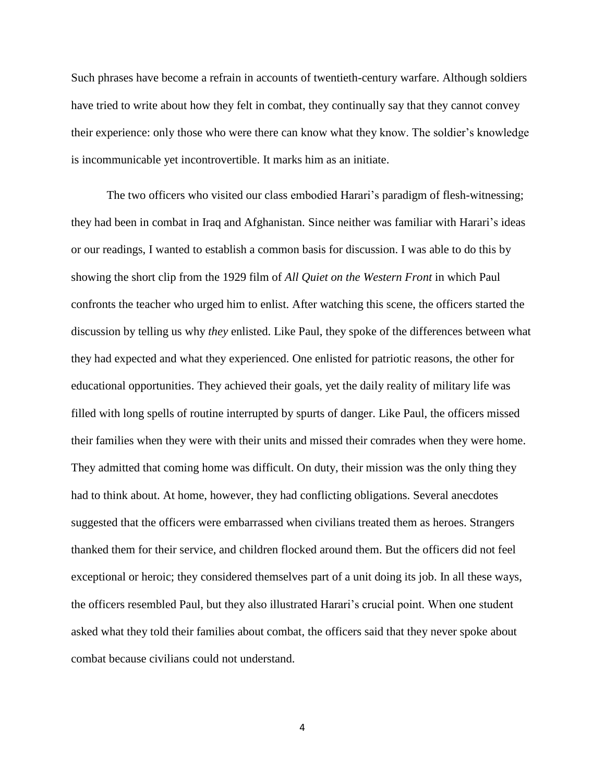Such phrases have become a refrain in accounts of twentieth-century warfare. Although soldiers have tried to write about how they felt in combat, they continually say that they cannot convey their experience: only those who were there can know what they know. The soldier's knowledge is incommunicable yet incontrovertible. It marks him as an initiate.

The two officers who visited our class embodied Harari's paradigm of flesh-witnessing; they had been in combat in Iraq and Afghanistan. Since neither was familiar with Harari's ideas or our readings, I wanted to establish a common basis for discussion. I was able to do this by showing the short clip from the 1929 film of *All Quiet on the Western Front* in which Paul confronts the teacher who urged him to enlist. After watching this scene, the officers started the discussion by telling us why *they* enlisted. Like Paul, they spoke of the differences between what they had expected and what they experienced. One enlisted for patriotic reasons, the other for educational opportunities. They achieved their goals, yet the daily reality of military life was filled with long spells of routine interrupted by spurts of danger. Like Paul, the officers missed their families when they were with their units and missed their comrades when they were home. They admitted that coming home was difficult. On duty, their mission was the only thing they had to think about. At home, however, they had conflicting obligations. Several anecdotes suggested that the officers were embarrassed when civilians treated them as heroes. Strangers thanked them for their service, and children flocked around them. But the officers did not feel exceptional or heroic; they considered themselves part of a unit doing its job. In all these ways, the officers resembled Paul, but they also illustrated Harari's crucial point. When one student asked what they told their families about combat, the officers said that they never spoke about combat because civilians could not understand.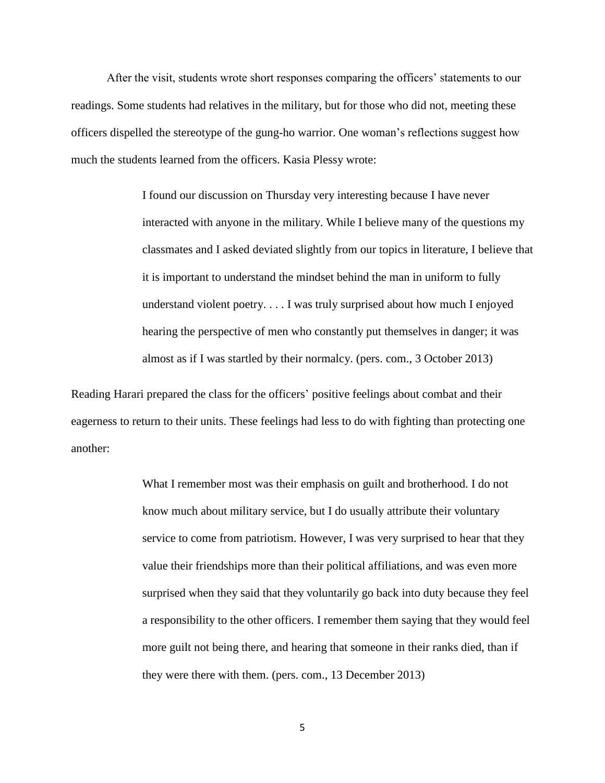After the visit, students wrote short responses comparing the officers' statements to our readings. Some students had relatives in the military, but for those who did not, meeting these officers dispelled the stereotype of the gung-ho warrior. One woman's reflections suggest how much the students learned from the officers. Kasia Plessy wrote:

> I found our discussion on Thursday very interesting because I have never interacted with anyone in the military. While I believe many of the questions my classmates and I asked deviated slightly from our topics in literature, I believe that it is important to understand the mindset behind the man in uniform to fully understand violent poetry. . . . I was truly surprised about how much I enjoyed hearing the perspective of men who constantly put themselves in danger; it was almost as if I was startled by their normalcy. (pers. com., 3 October 2013)

Reading Harari prepared the class for the officers' positive feelings about combat and their eagerness to return to their units. These feelings had less to do with fighting than protecting one another:

> What I remember most was their emphasis on guilt and brotherhood. I do not know much about military service, but I do usually attribute their voluntary service to come from patriotism. However, I was very surprised to hear that they value their friendships more than their political affiliations, and was even more surprised when they said that they voluntarily go back into duty because they feel a responsibility to the other officers. I remember them saying that they would feel more guilt not being there, and hearing that someone in their ranks died, than if they were there with them. (pers. com., 13 December 2013)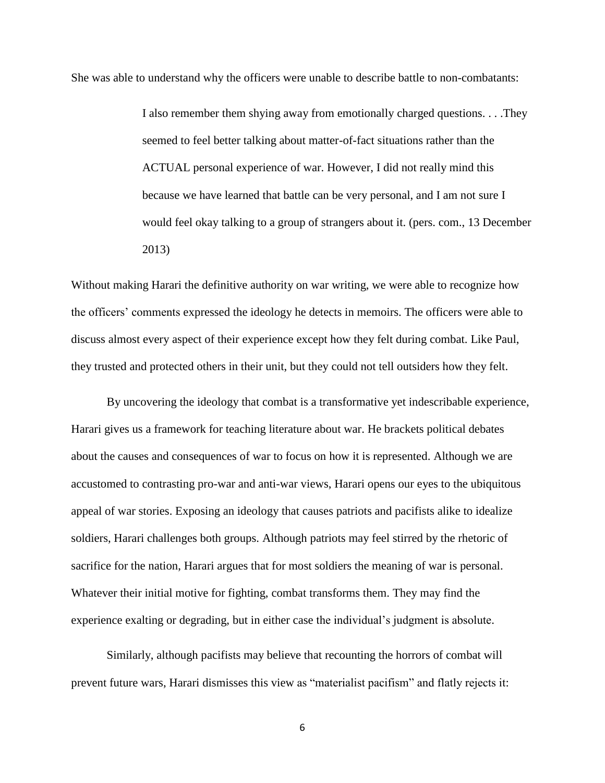She was able to understand why the officers were unable to describe battle to non-combatants:

I also remember them shying away from emotionally charged questions. . . .They seemed to feel better talking about matter-of-fact situations rather than the ACTUAL personal experience of war. However, I did not really mind this because we have learned that battle can be very personal, and I am not sure I would feel okay talking to a group of strangers about it. (pers. com., 13 December 2013)

Without making Harari the definitive authority on war writing, we were able to recognize how the officers' comments expressed the ideology he detects in memoirs. The officers were able to discuss almost every aspect of their experience except how they felt during combat. Like Paul, they trusted and protected others in their unit, but they could not tell outsiders how they felt.

By uncovering the ideology that combat is a transformative yet indescribable experience, Harari gives us a framework for teaching literature about war. He brackets political debates about the causes and consequences of war to focus on how it is represented. Although we are accustomed to contrasting pro-war and anti-war views, Harari opens our eyes to the ubiquitous appeal of war stories. Exposing an ideology that causes patriots and pacifists alike to idealize soldiers, Harari challenges both groups. Although patriots may feel stirred by the rhetoric of sacrifice for the nation, Harari argues that for most soldiers the meaning of war is personal. Whatever their initial motive for fighting, combat transforms them. They may find the experience exalting or degrading, but in either case the individual's judgment is absolute.

Similarly, although pacifists may believe that recounting the horrors of combat will prevent future wars, Harari dismisses this view as "materialist pacifism" and flatly rejects it: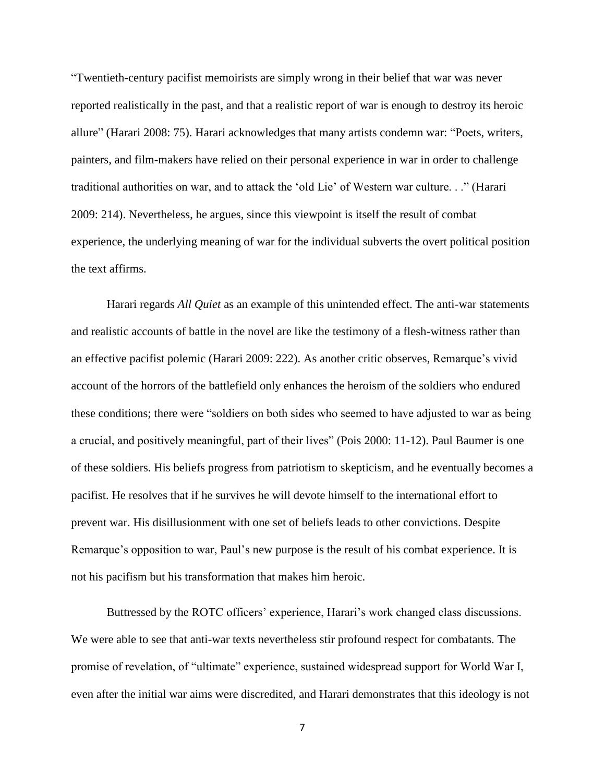"Twentieth-century pacifist memoirists are simply wrong in their belief that war was never reported realistically in the past, and that a realistic report of war is enough to destroy its heroic allure" (Harari 2008: 75). Harari acknowledges that many artists condemn war: "Poets, writers, painters, and film-makers have relied on their personal experience in war in order to challenge traditional authorities on war, and to attack the 'old Lie' of Western war culture. . ." (Harari 2009: 214). Nevertheless, he argues, since this viewpoint is itself the result of combat experience, the underlying meaning of war for the individual subverts the overt political position the text affirms.

Harari regards *All Quiet* as an example of this unintended effect. The anti-war statements and realistic accounts of battle in the novel are like the testimony of a flesh-witness rather than an effective pacifist polemic (Harari 2009: 222). As another critic observes, Remarque's vivid account of the horrors of the battlefield only enhances the heroism of the soldiers who endured these conditions; there were "soldiers on both sides who seemed to have adjusted to war as being a crucial, and positively meaningful, part of their lives" (Pois 2000: 11-12). Paul Baumer is one of these soldiers. His beliefs progress from patriotism to skepticism, and he eventually becomes a pacifist. He resolves that if he survives he will devote himself to the international effort to prevent war. His disillusionment with one set of beliefs leads to other convictions. Despite Remarque's opposition to war, Paul's new purpose is the result of his combat experience. It is not his pacifism but his transformation that makes him heroic.

Buttressed by the ROTC officers' experience, Harari's work changed class discussions. We were able to see that anti-war texts nevertheless stir profound respect for combatants. The promise of revelation, of "ultimate" experience, sustained widespread support for World War I, even after the initial war aims were discredited, and Harari demonstrates that this ideology is not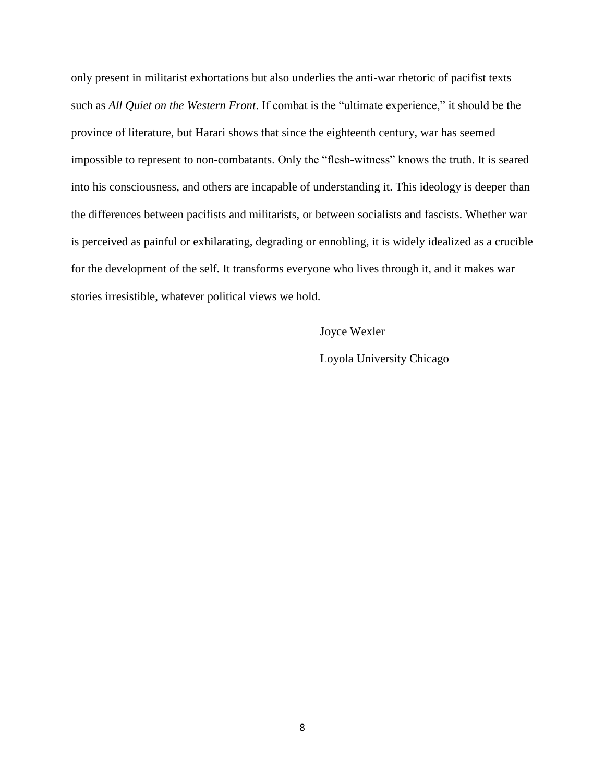only present in militarist exhortations but also underlies the anti-war rhetoric of pacifist texts such as *All Quiet on the Western Front*. If combat is the "ultimate experience," it should be the province of literature, but Harari shows that since the eighteenth century, war has seemed impossible to represent to non-combatants. Only the "flesh-witness" knows the truth. It is seared into his consciousness, and others are incapable of understanding it. This ideology is deeper than the differences between pacifists and militarists, or between socialists and fascists. Whether war is perceived as painful or exhilarating, degrading or ennobling, it is widely idealized as a crucible for the development of the self. It transforms everyone who lives through it, and it makes war stories irresistible, whatever political views we hold.

Joyce Wexler

Loyola University Chicago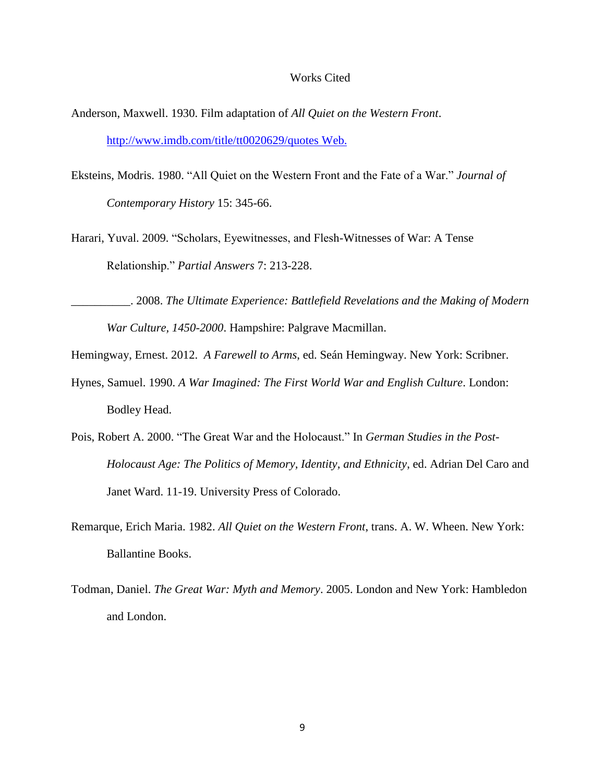## Works Cited

- Anderson, Maxwell. 1930. Film adaptation of *All Quiet on the Western Front*. <http://www.imdb.com/title/tt0020629/quotes> Web.
- Eksteins, Modris. 1980. "All Quiet on the Western Front and the Fate of a War." *Journal of Contemporary History* 15: 345-66.
- Harari, Yuval. 2009. "Scholars, Eyewitnesses, and Flesh-Witnesses of War: A Tense Relationship." *Partial Answers* 7: 213-228.

\_\_\_\_\_\_\_\_\_\_. 2008. *The Ultimate Experience: Battlefield Revelations and the Making of Modern War Culture, 1450-2000*. Hampshire: Palgrave Macmillan.

- Hemingway, Ernest. 2012. *A Farewell to Arms*, ed. Seán Hemingway. New York: Scribner.
- Hynes, Samuel. 1990. *A War Imagined: The First World War and English Culture*. London: Bodley Head.
- Pois, Robert A. 2000. "The Great War and the Holocaust." In *German Studies in the Post-Holocaust Age: The Politics of Memory, Identity, and Ethnicity*, ed. Adrian Del Caro and Janet Ward. 11-19. University Press of Colorado.
- Remarque, Erich Maria. 1982. *All Quiet on the Western Front*, trans. A. W. Wheen. New York: Ballantine Books.
- Todman, Daniel. *The Great War: Myth and Memory*. 2005. London and New York: Hambledon and London.